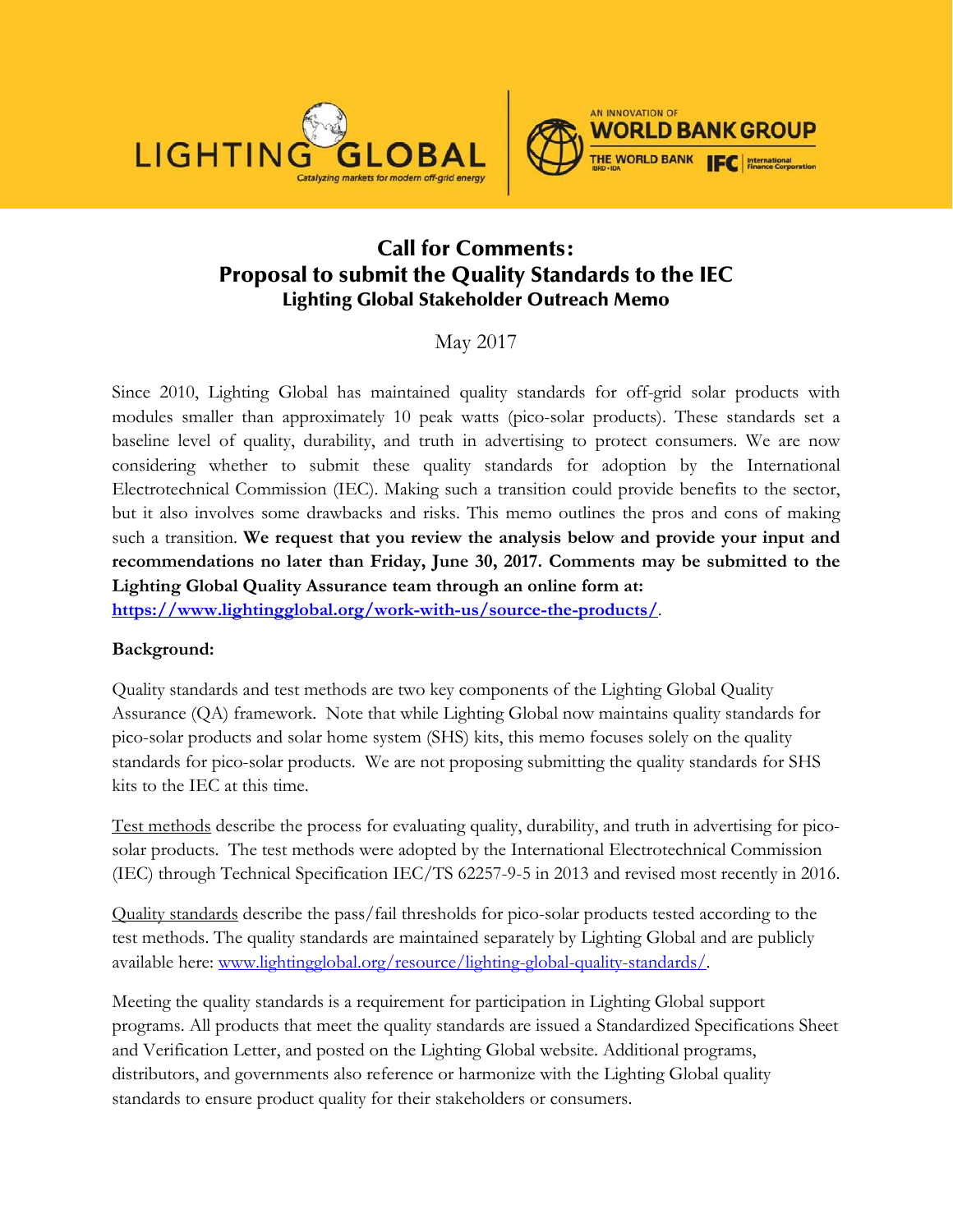



# Call for Comments: Proposal to submit the Quality Standards to the IEC Lighting Global Stakeholder Outreach Memo

# May 2017

Since 2010, Lighting Global has maintained quality standards for off-grid solar products with modules smaller than approximately 10 peak watts (pico-solar products). These standards set a baseline level of quality, durability, and truth in advertising to protect consumers. We are now considering whether to submit these quality standards for adoption by the International Electrotechnical Commission (IEC). Making such a transition could provide benefits to the sector, but it also involves some drawbacks and risks. This memo outlines the pros and cons of making such a transition. **We request that you review the analysis below and provide your input and recommendations no later than Friday, June 30, 2017. Comments may be submitted to the Lighting Global Quality Assurance team through an online form at:**

**<https://www.lightingglobal.org/work-with-us/source-the-products/>**.

### **Background:**

Quality standards and test methods are two key components of the Lighting Global Quality Assurance (QA) framework. Note that while Lighting Global now maintains quality standards for pico-solar products and solar home system (SHS) kits, this memo focuses solely on the quality standards for pico-solar products. We are not proposing submitting the quality standards for SHS kits to the IEC at this time.

Test methods describe the process for evaluating quality, durability, and truth in advertising for picosolar products. The test methods were adopted by the International Electrotechnical Commission (IEC) through Technical Specification IEC/TS 62257-9-5 in 2013 and revised most recently in 2016.

Quality standards describe the pass/fail thresholds for pico-solar products tested according to the test methods. The quality standards are maintained separately by Lighting Global and are publicly available here: [www.lightingglobal.org/resource/lighting-global-quality-standards/.](https://www.lightingglobal.org/resource/lighting-global-quality-standards/)

Meeting the quality standards is a requirement for participation in Lighting Global support programs. All products that meet the quality standards are issued a Standardized Specifications Sheet and Verification Letter, and posted on the Lighting Global website. Additional programs, distributors, and governments also reference or harmonize with the Lighting Global quality standards to ensure product quality for their stakeholders or consumers.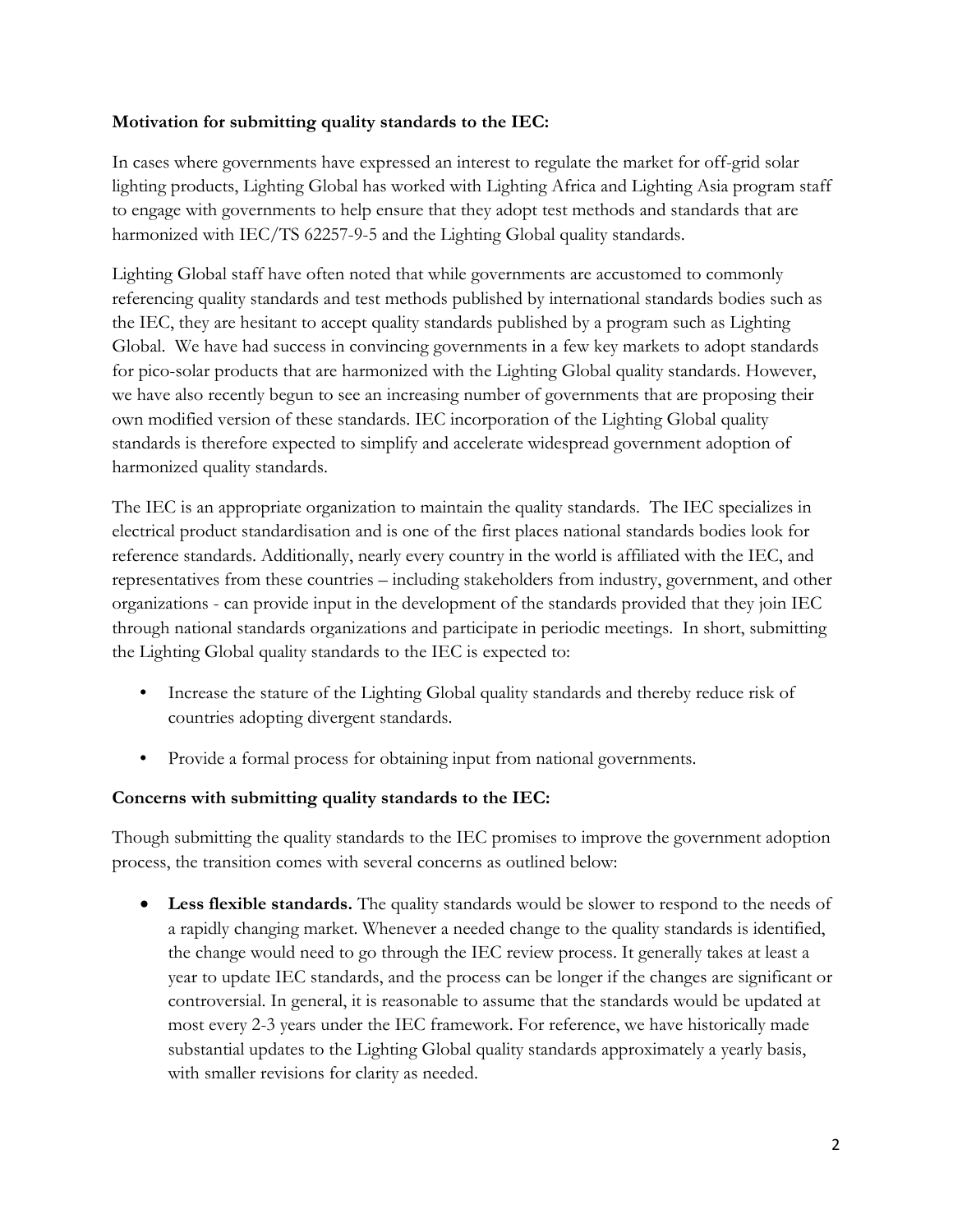#### **Motivation for submitting quality standards to the IEC:**

In cases where governments have expressed an interest to regulate the market for off-grid solar lighting products, Lighting Global has worked with Lighting Africa and Lighting Asia program staff to engage with governments to help ensure that they adopt test methods and standards that are harmonized with IEC/TS 62257-9-5 and the Lighting Global quality standards.

Lighting Global staff have often noted that while governments are accustomed to commonly referencing quality standards and test methods published by international standards bodies such as the IEC, they are hesitant to accept quality standards published by a program such as Lighting Global. We have had success in convincing governments in a few key markets to adopt standards for pico-solar products that are harmonized with the Lighting Global quality standards. However, we have also recently begun to see an increasing number of governments that are proposing their own modified version of these standards. IEC incorporation of the Lighting Global quality standards is therefore expected to simplify and accelerate widespread government adoption of harmonized quality standards.

The IEC is an appropriate organization to maintain the quality standards. The IEC specializes in electrical product standardisation and is one of the first places national standards bodies look for reference standards. Additionally, nearly every country in the world is affiliated with the IEC, and representatives from these countries – including stakeholders from industry, government, and other organizations - can provide input in the development of the standards provided that they join IEC through national standards organizations and participate in periodic meetings. In short, submitting the Lighting Global quality standards to the IEC is expected to:

- Increase the stature of the Lighting Global quality standards and thereby reduce risk of countries adopting divergent standards.
- Provide a formal process for obtaining input from national governments.

### **Concerns with submitting quality standards to the IEC:**

Though submitting the quality standards to the IEC promises to improve the government adoption process, the transition comes with several concerns as outlined below:

• Less flexible standards. The quality standards would be slower to respond to the needs of a rapidly changing market. Whenever a needed change to the quality standards is identified, the change would need to go through the IEC review process. It generally takes at least a year to update IEC standards, and the process can be longer if the changes are significant or controversial. In general, it is reasonable to assume that the standards would be updated at most every 2-3 years under the IEC framework. For reference, we have historically made substantial updates to the Lighting Global quality standards approximately a yearly basis, with smaller revisions for clarity as needed.